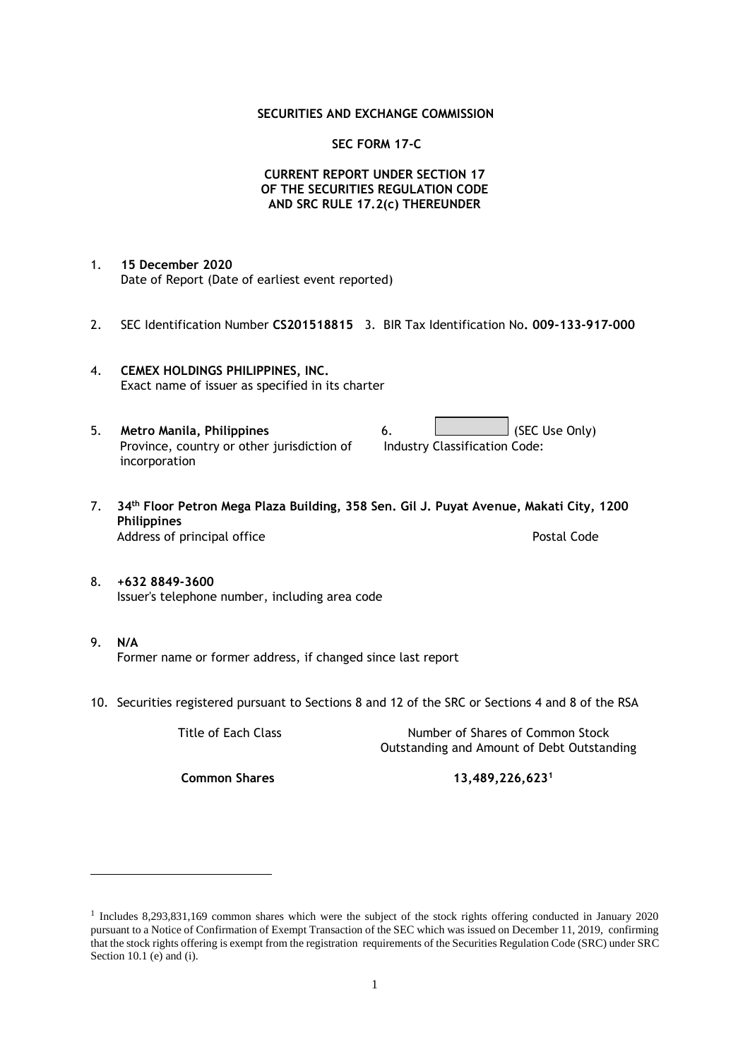#### **SECURITIES AND EXCHANGE COMMISSION**

#### **SEC FORM 17-C**

### **CURRENT REPORT UNDER SECTION 17 OF THE SECURITIES REGULATION CODE AND SRC RULE 17.2(c) THEREUNDER**

- 1. **15 December 2020** Date of Report (Date of earliest event reported)
- 2. SEC Identification Number **CS201518815** 3. BIR Tax Identification No**. 009-133-917-000**
- 4. **CEMEX HOLDINGS PHILIPPINES, INC.** Exact name of issuer as specified in its charter
- 5. **Metro Manila, Philippines** 6. **Consumers 6.** (SEC Use Only) Province, country or other jurisdiction of incorporation Industry Classification Code:
- 7. **34th Floor Petron Mega Plaza Building, 358 Sen. Gil J. Puyat Avenue, Makati City, 1200 Philippines** Address of principal office **Postal Code** Postal Code
- 8. **+632 8849-3600** Issuer's telephone number, including area code
- 9. **N/A** Former name or former address, if changed since last report
- 10. Securities registered pursuant to Sections 8 and 12 of the SRC or Sections 4 and 8 of the RSA

Title of Each Class Number of Shares of Common Stock Outstanding and Amount of Debt Outstanding

**Common Shares 13,489,226,623<sup>1</sup>**

<sup>1</sup> Includes 8,293,831,169 common shares which were the subject of the stock rights offering conducted in January 2020 pursuant to a Notice of Confirmation of Exempt Transaction of the SEC which was issued on December 11, 2019, confirming that the stock rights offering is exempt from the registration requirements of the Securities Regulation Code (SRC) under SRC Section 10.1 (e) and (i).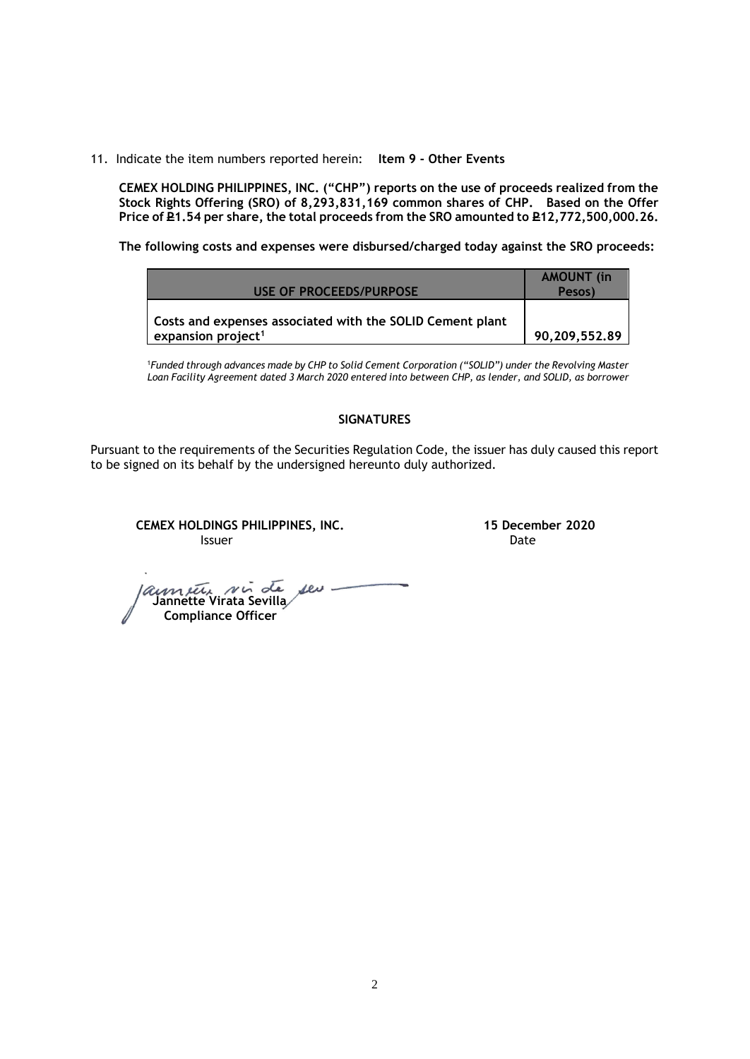11. Indicate the item numbers reported herein: **Item 9 - Other Events**

**CEMEX HOLDING PHILIPPINES, INC. ("CHP") reports on the use of proceeds realized from the Stock Rights Offering (SRO) of 8,293,831,169 common shares of CHP. Based on the Offer**  Price of **P1.54** per share, the total proceeds from the SRO amounted to P12,772,500,000.26.

**The following costs and expenses were disbursed/charged today against the SRO proceeds:**

| USE OF PROCEEDS/PURPOSE                                                                     | <b>AMOUNT</b> (in<br>Pesos) |
|---------------------------------------------------------------------------------------------|-----------------------------|
| Costs and expenses associated with the SOLID Cement plant<br>expansion project <sup>1</sup> | 90,209,552.89               |

<sup>1</sup>*Funded through advances made by CHP to Solid Cement Corporation ("SOLID") under the Revolving Master Loan Facility Agreement dated 3 March 2020 entered into between CHP, as lender, and SOLID, as borrower*

## **SIGNATURES**

Pursuant to the requirements of the Securities Regulation Code, the issuer has duly caused this report to be signed on its behalf by the undersigned hereunto duly authorized.

**CEMEX HOLDINGS PHILIPPINES, INC. 15 December 2020 Issuer Date** 

 **Jannette Virata Sevilla Compliance Officer**